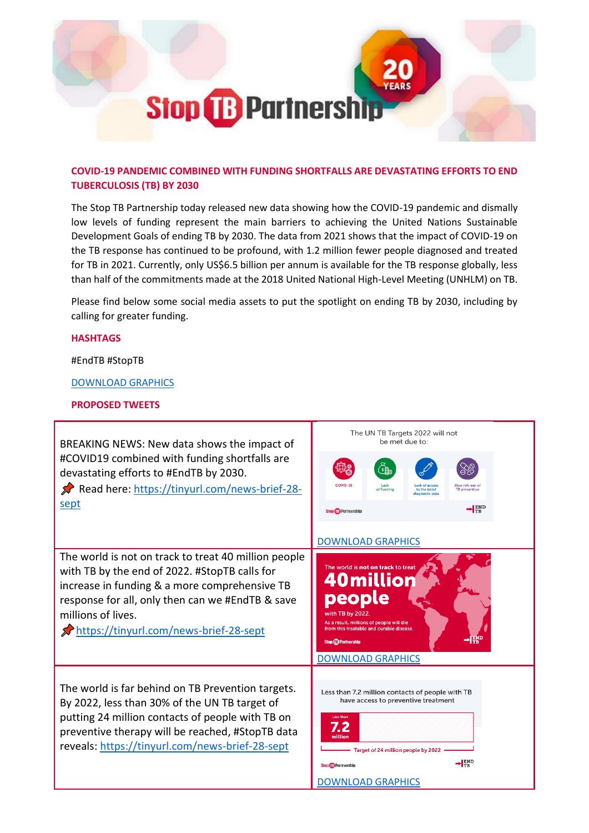

## **COVID-19 PANDEMIC COMBINED WITH FUNDING SHORTFALLS ARE DEVASTATING EFFORTS TO END TUBERCULOSIS (TB) BY 2030**

The Stop TB Partnership today released new data showing how the COVID-19 pandemic and dismally low levels of funding represent the main barriers to achieving the United Nations Sustainable Development Goals of ending TB by 2030. The data from 2021 shows that the impact of COVID-19 on the TB response has continued to be profound, with 1.2 million fewer people diagnosed and treated for TB in 2021. Currently, only US\$6.5 billion per annum is available for the TB response globally, less than half of the commitments made at the 2018 United National High-Level Meeting (UNHLM) on TB.

Please find below some social media assets to put the spotlight on ending TB by 2030, including by calling for greater funding.

## **HASHTAGS**

#EndTB #StopTB

[DOWNLOAD GRAPHICS](https://stoptb.filecamp.com/s/NhKn1w5rjQTkGBj6/fo)

## **PROPOSED TWEETS**